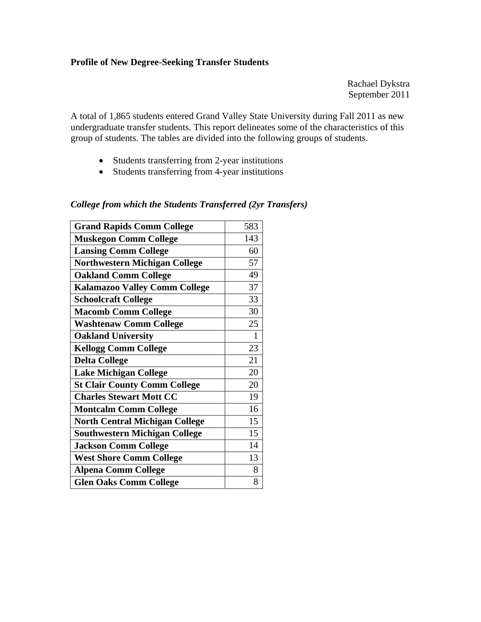## **Profile of New Degree-Seeking Transfer Students**

Rachael Dykstra September 2011

A total of 1,865 students entered Grand Valley State University during Fall 2011 as new undergraduate transfer students. This report delineates some of the characteristics of this group of students. The tables are divided into the following groups of students.

- Students transferring from 2-year institutions
- Students transferring from 4-year institutions

## *College from which the Students Transferred (2yr Transfers)*

| <b>Grand Rapids Comm College</b>      | 583 |
|---------------------------------------|-----|
| <b>Muskegon Comm College</b>          | 143 |
| <b>Lansing Comm College</b>           | 60  |
| <b>Northwestern Michigan College</b>  | 57  |
| <b>Oakland Comm College</b>           | 49  |
| <b>Kalamazoo Valley Comm College</b>  | 37  |
| <b>Schoolcraft College</b>            | 33  |
| <b>Macomb Comm College</b>            | 30  |
| <b>Washtenaw Comm College</b>         | 25  |
| <b>Oakland University</b>             | 1   |
| <b>Kellogg Comm College</b>           | 23  |
| <b>Delta College</b>                  | 21  |
| <b>Lake Michigan College</b>          | 20  |
| <b>St Clair County Comm College</b>   | 20  |
| <b>Charles Stewart Mott CC</b>        | 19  |
| <b>Montcalm Comm College</b>          | 16  |
| <b>North Central Michigan College</b> | 15  |
| <b>Southwestern Michigan College</b>  | 15  |
| <b>Jackson Comm College</b>           | 14  |
| <b>West Shore Comm College</b>        | 13  |
| <b>Alpena Comm College</b>            | 8   |
| <b>Glen Oaks Comm College</b>         | 8   |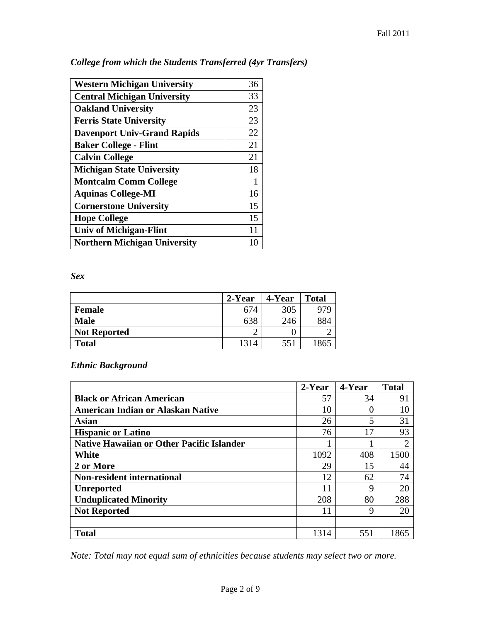| <b>Western Michigan University</b>  | 36 |
|-------------------------------------|----|
| <b>Central Michigan University</b>  | 33 |
| <b>Oakland University</b>           | 23 |
| <b>Ferris State University</b>      | 23 |
| <b>Davenport Univ-Grand Rapids</b>  | 22 |
| <b>Baker College - Flint</b>        | 21 |
| <b>Calvin College</b>               | 21 |
| <b>Michigan State University</b>    | 18 |
| <b>Montcalm Comm College</b>        | 1  |
| <b>Aquinas College-MI</b>           | 16 |
| <b>Cornerstone University</b>       | 15 |
| <b>Hope College</b>                 | 15 |
| <b>Univ of Michigan-Flint</b>       | 11 |
| <b>Northern Michigan University</b> |    |

*College from which the Students Transferred (4yr Transfers)* 

*Sex* 

|                     | 2-Year | 4-Year | <b>Total</b> |
|---------------------|--------|--------|--------------|
| <b>Female</b>       | 674    | 305    | 979          |
| <b>Male</b>         | 638    | 246    | 884          |
| <b>Not Reported</b> |        |        |              |
| <b>Total</b>        | 1314   | 551    |              |

*Ethnic Background* 

|                                                  | $2$ -Year | 4-Year | <b>Total</b> |
|--------------------------------------------------|-----------|--------|--------------|
| <b>Black or African American</b>                 | 57        | 34     | 91           |
| <b>American Indian or Alaskan Native</b>         | 10        |        | 10           |
| Asian                                            | 26        | 5      | 31           |
| <b>Hispanic or Latino</b>                        | 76        | 17     | 93           |
| <b>Native Hawaiian or Other Pacific Islander</b> |           |        |              |
| White                                            | 1092      | 408    | 1500         |
| 2 or More                                        | 29        | 15     | 44           |
| <b>Non-resident international</b>                | 12        | 62     | 74           |
| <b>Unreported</b>                                | 11        | Q      | 20           |
| <b>Unduplicated Minority</b>                     | 208       | 80     | 288          |
| <b>Not Reported</b>                              | 11        | Q      | 20           |
|                                                  |           |        |              |
| <b>Total</b>                                     | 1314      | 551    | 1865         |

*Note: Total may not equal sum of ethnicities because students may select two or more.*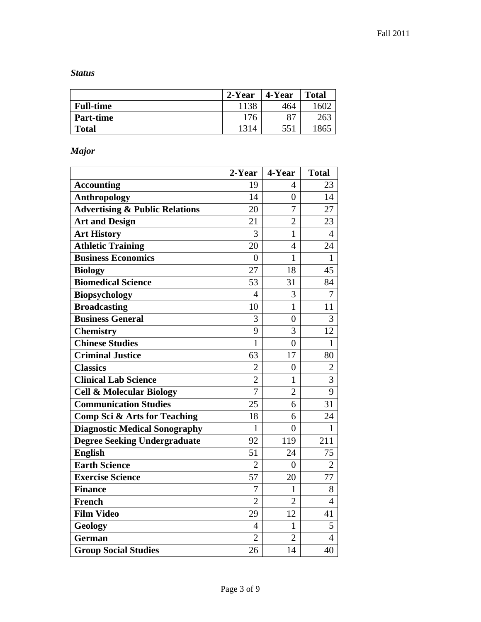*Status* 

|                  | 2-Year | 4-Year | <b>Total</b> |
|------------------|--------|--------|--------------|
| <b>Full-time</b> | 1138   | 464    | 60           |
| <b>Part-time</b> | 176    | oп     |              |
| <b>Total</b>     | 1314   | 551    | '86.         |

*Major* 

|                                           | 2-Year         | 4-Year         | <b>Total</b>   |
|-------------------------------------------|----------------|----------------|----------------|
| <b>Accounting</b>                         | 19             | 4              | 23             |
| <b>Anthropology</b>                       | 14             | 0              | 14             |
| <b>Advertising &amp; Public Relations</b> | 20             | $\overline{7}$ | 27             |
| <b>Art and Design</b>                     | 21             | $\overline{2}$ | 23             |
| <b>Art History</b>                        | 3              | $\mathbf{1}$   | $\overline{4}$ |
| <b>Athletic Training</b>                  | 20             | 4              | 24             |
| <b>Business Economics</b>                 | $\overline{0}$ | $\mathbf{1}$   | $\mathbf{1}$   |
| <b>Biology</b>                            | 27             | 18             | 45             |
| <b>Biomedical Science</b>                 | 53             | 31             | 84             |
| <b>Biopsychology</b>                      | $\overline{4}$ | 3              | 7              |
| <b>Broadcasting</b>                       | 10             | $\mathbf{1}$   | 11             |
| <b>Business General</b>                   | 3              | $\overline{0}$ | 3              |
| <b>Chemistry</b>                          | 9              | 3              | 12             |
| <b>Chinese Studies</b>                    | $\mathbf{1}$   | $\overline{0}$ | $\mathbf{1}$   |
| <b>Criminal Justice</b>                   | 63             | 17             | 80             |
| <b>Classics</b>                           | $\overline{2}$ | $\overline{0}$ | $\overline{2}$ |
| <b>Clinical Lab Science</b>               | $\overline{2}$ | $\mathbf{1}$   | $\overline{3}$ |
| <b>Cell &amp; Molecular Biology</b>       | $\overline{7}$ | $\overline{2}$ | 9              |
| <b>Communication Studies</b>              | 25             | 6              | 31             |
| <b>Comp Sci &amp; Arts for Teaching</b>   | 18             | 6              | 24             |
| <b>Diagnostic Medical Sonography</b>      | $\mathbf{1}$   | $\overline{0}$ | $\mathbf{1}$   |
| <b>Degree Seeking Undergraduate</b>       | 92             | 119            | 211            |
| <b>English</b>                            | 51             | 24             | 75             |
| <b>Earth Science</b>                      | $\overline{2}$ | $\overline{0}$ | $\overline{2}$ |
| <b>Exercise Science</b>                   | 57             | 20             | 77             |
| <b>Finance</b>                            | $\overline{7}$ | $\mathbf{1}$   | 8              |
| French                                    | $\overline{2}$ | $\overline{2}$ | $\overline{4}$ |
| <b>Film Video</b>                         | 29             | 12             | 41             |
| Geology                                   | 4              | 1              | 5              |
| <b>German</b>                             | $\overline{2}$ | $\overline{2}$ | $\overline{4}$ |
| <b>Group Social Studies</b>               | 26             | 14             | 40             |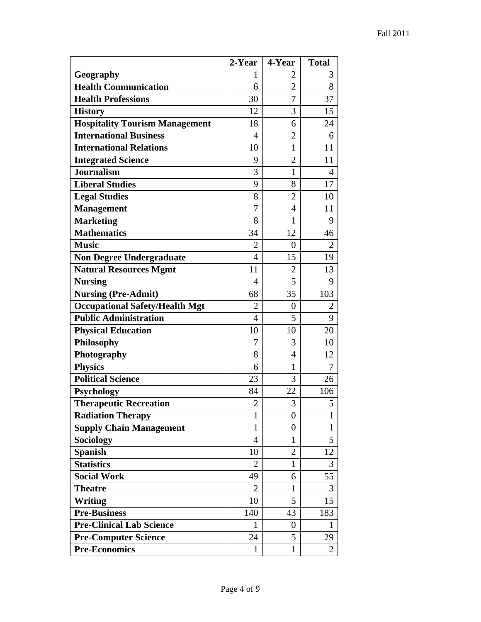|                                       | 2-Year         | 4-Year         | <b>Total</b>   |
|---------------------------------------|----------------|----------------|----------------|
| Geography                             | 1              | 2              | 3              |
| <b>Health Communication</b>           | 6              | $\overline{2}$ | 8              |
| <b>Health Professions</b>             | 30             | 7              | 37             |
| <b>History</b>                        | 12             | 3              | 15             |
| <b>Hospitality Tourism Management</b> | 18             | 6              | 24             |
| <b>International Business</b>         | 4              | $\overline{2}$ | 6              |
| <b>International Relations</b>        | 10             | 1              | 11             |
| <b>Integrated Science</b>             | 9              | $\overline{2}$ | 11             |
| <b>Journalism</b>                     | 3              | 1              | $\overline{4}$ |
| <b>Liberal Studies</b>                | 9              | 8              | 17             |
| <b>Legal Studies</b>                  | 8              | $\overline{2}$ | 10             |
| <b>Management</b>                     | 7              | 4              | 11             |
| <b>Marketing</b>                      | 8              | $\mathbf{1}$   | 9              |
| <b>Mathematics</b>                    | 34             | 12             | 46             |
| <b>Music</b>                          | 2              | $\overline{0}$ | 2              |
| <b>Non Degree Undergraduate</b>       | 4              | 15             | 19             |
| <b>Natural Resources Mgmt</b>         | 11             | $\overline{2}$ | 13             |
| <b>Nursing</b>                        | 4              | 5              | 9              |
| <b>Nursing (Pre-Admit)</b>            | 68             | 35             | 103            |
| <b>Occupational Safety/Health Mgt</b> | 2              | 0              | $\overline{2}$ |
| <b>Public Administration</b>          | $\overline{4}$ | 5              | 9              |
| <b>Physical Education</b>             | 10             | 10             | 20             |
| <b>Philosophy</b>                     | 7              | 3              | 10             |
| Photography                           | 8              | 4              | 12             |
| <b>Physics</b>                        | 6              | 1              | 7              |
| <b>Political Science</b>              | 23             | 3              | 26             |
| Psychology                            | 84             | 22             | 106            |
| <b>Therapeutic Recreation</b>         | $\overline{2}$ | 3              | 5              |
| <b>Radiation Therapy</b>              | $\mathbf{1}$   | 0              | $\mathbf{1}$   |
| <b>Supply Chain Management</b>        | $\mathbf{1}$   | 0              | $\mathbf{1}$   |
| <b>Sociology</b>                      | $\overline{4}$ | 1              | 5              |
| <b>Spanish</b>                        | 10             | $\overline{2}$ | 12             |
| <b>Statistics</b>                     | 2              | 1              | 3              |
| <b>Social Work</b>                    | 49             | 6              | 55             |
| <b>Theatre</b>                        | $\overline{2}$ | 1              | 3              |
| <b>Writing</b>                        | 10             | 5              | 15             |
| <b>Pre-Business</b>                   | 140            | 43             | 183            |
| <b>Pre-Clinical Lab Science</b>       | $\mathbf{1}$   | 0              | $\mathbf{1}$   |
| <b>Pre-Computer Science</b>           | 24             | 5              | 29             |
| <b>Pre-Economics</b>                  | $\mathbf{1}$   | 1              | $\overline{2}$ |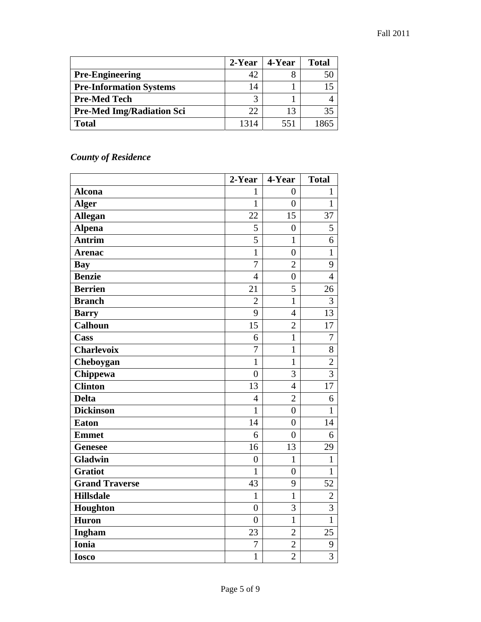|                                  | 2-Year | 4-Year | <b>Total</b> |
|----------------------------------|--------|--------|--------------|
| <b>Pre-Engineering</b>           |        |        |              |
| <b>Pre-Information Systems</b>   | 14     |        |              |
| <b>Pre-Med Tech</b>              |        |        |              |
| <b>Pre-Med Img/Radiation Sci</b> | 22.    | 13     | 35           |
| <b>Total</b>                     | 1314   | 551    | 1865         |

## *County of Residence*

|                       | 2-Year         | 4-Year         | <b>Total</b>   |
|-----------------------|----------------|----------------|----------------|
| <b>Alcona</b>         | 1              | $\overline{0}$ | $\mathbf{1}$   |
| <b>Alger</b>          | $\mathbf{1}$   | $\overline{0}$ | $\mathbf{1}$   |
| <b>Allegan</b>        | 22             | 15             | 37             |
| <b>Alpena</b>         | 5              | $\overline{0}$ | 5              |
| <b>Antrim</b>         | 5              | $\mathbf{1}$   | 6              |
| <b>Arenac</b>         | $\mathbf{1}$   | $\overline{0}$ | $\mathbf{1}$   |
| <b>Bay</b>            | $\overline{7}$ | $\overline{2}$ | 9              |
| <b>Benzie</b>         | $\overline{4}$ | $\overline{0}$ | $\overline{4}$ |
| <b>Berrien</b>        | 21             | 5              | 26             |
| <b>Branch</b>         | $\overline{2}$ | $\mathbf{1}$   | 3              |
| <b>Barry</b>          | 9              | $\overline{4}$ | 13             |
| <b>Calhoun</b>        | 15             | $\overline{2}$ | 17             |
| Cass                  | 6              | $\mathbf{1}$   | $\overline{7}$ |
| <b>Charlevoix</b>     | $\overline{7}$ | $\mathbf{1}$   | 8              |
| Cheboygan             | $\mathbf{1}$   | $\mathbf{1}$   | $\overline{2}$ |
| Chippewa              | $\overline{0}$ | 3              | $\overline{3}$ |
| <b>Clinton</b>        | 13             | $\overline{4}$ | 17             |
| <b>Delta</b>          | $\overline{4}$ | $\overline{2}$ | 6              |
| <b>Dickinson</b>      | $\mathbf{1}$   | $\overline{0}$ | $\mathbf{1}$   |
| <b>Eaton</b>          | 14             | $\overline{0}$ | 14             |
| <b>Emmet</b>          | 6              | $\overline{0}$ | 6              |
| <b>Genesee</b>        | 16             | 13             | 29             |
| Gladwin               | $\overline{0}$ | $\mathbf{1}$   | $\mathbf{1}$   |
| <b>Gratiot</b>        | $\mathbf{1}$   | $\overline{0}$ | $\mathbf{1}$   |
| <b>Grand Traverse</b> | 43             | 9              | 52             |
| <b>Hillsdale</b>      | $\mathbf{1}$   | $\mathbf{1}$   | $\overline{2}$ |
| Houghton              | $\overline{0}$ | 3              | $\overline{3}$ |
| <b>Huron</b>          | $\overline{0}$ | $\mathbf{1}$   | $\mathbf{1}$   |
| Ingham                | 23             | $\overline{c}$ | 25             |
| Ionia                 | $\overline{7}$ | $\overline{c}$ | 9              |
| <b>Iosco</b>          | $\mathbf{1}$   | $\overline{2}$ | $\overline{3}$ |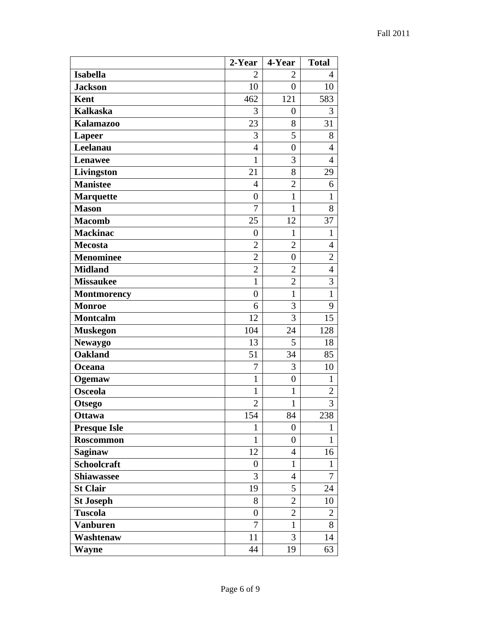|                     | 2-Year           | 4-Year           | <b>Total</b>   |
|---------------------|------------------|------------------|----------------|
| <b>Isabella</b>     | 2                | $\overline{2}$   | $\overline{4}$ |
| <b>Jackson</b>      | 10               | $\overline{0}$   | 10             |
| <b>Kent</b>         | 462              | 121              | 583            |
| <b>Kalkaska</b>     | 3                | $\boldsymbol{0}$ | 3              |
| <b>Kalamazoo</b>    | 23               | 8                | 31             |
| <b>Lapeer</b>       | 3                | 5                | 8              |
| Leelanau            | $\overline{4}$   | 0                | $\overline{4}$ |
| Lenawee             | $\mathbf{1}$     | 3                | $\overline{4}$ |
| Livingston          | 21               | 8                | 29             |
| <b>Manistee</b>     | $\overline{4}$   | $\overline{2}$   | 6              |
| <b>Marquette</b>    | $\boldsymbol{0}$ | $\mathbf{1}$     | $\mathbf{1}$   |
| <b>Mason</b>        | $\overline{7}$   | $\mathbf{1}$     | 8              |
| <b>Macomb</b>       | 25               | 12               | 37             |
| <b>Mackinac</b>     | $\boldsymbol{0}$ | 1                | $\mathbf{1}$   |
| <b>Mecosta</b>      | $\overline{2}$   | $\overline{2}$   | $\overline{4}$ |
| <b>Menominee</b>    | $\overline{2}$   | $\overline{0}$   | $\overline{2}$ |
| <b>Midland</b>      | $\overline{2}$   | $\overline{2}$   | $\overline{4}$ |
| <b>Missaukee</b>    | $\mathbf{1}$     | $\overline{2}$   | 3              |
| <b>Montmorency</b>  | $\overline{0}$   | $\mathbf{1}$     | $\mathbf{1}$   |
| <b>Monroe</b>       | 6                | 3                | 9              |
| <b>Montcalm</b>     | 12               | 3                | 15             |
| <b>Muskegon</b>     | 104              | 24               | 128            |
| <b>Newaygo</b>      | 13               | 5                | 18             |
| <b>Oakland</b>      | 51               | 34               | 85             |
| Oceana              | 7                | 3                | 10             |
| Ogemaw              | $\mathbf{1}$     | $\overline{0}$   | $\mathbf{1}$   |
| <b>Osceola</b>      | $\mathbf{1}$     | 1                | $\overline{c}$ |
| <b>Otsego</b>       | $\overline{2}$   | $\mathbf{1}$     | $\overline{3}$ |
| <b>Ottawa</b>       | 154              | 84               | 238            |
| <b>Presque Isle</b> | $\mathbf{1}$     | $\boldsymbol{0}$ | $\mathbf{1}$   |
| Roscommon           | $\mathbf{1}$     | $\boldsymbol{0}$ | $\mathbf{1}$   |
| <b>Saginaw</b>      | 12               | $\overline{4}$   | 16             |
| Schoolcraft         | $\boldsymbol{0}$ | $\mathbf{1}$     | $\mathbf{1}$   |
| <b>Shiawassee</b>   | 3                | 4                | 7              |
| <b>St Clair</b>     | 19               | 5                | 24             |
| <b>St Joseph</b>    | 8                | $\overline{2}$   | 10             |
| <b>Tuscola</b>      | $\boldsymbol{0}$ | $\boldsymbol{2}$ | $\overline{c}$ |
| <b>Vanburen</b>     | $\overline{7}$   | $\mathbf{1}$     | 8              |
| Washtenaw           | 11               | 3                | 14             |
| <b>Wayne</b>        | 44               | 19               | 63             |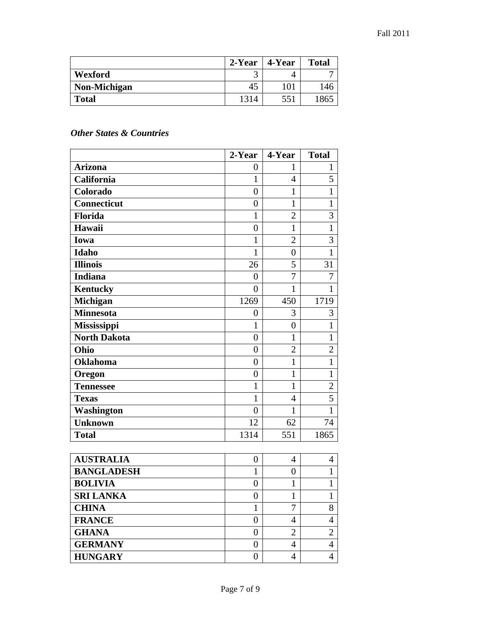|              | $2$ -Year | 4-Year | <b>Total</b> |
|--------------|-----------|--------|--------------|
| Wexford      |           |        |              |
| Non-Michigan | 45        | 101    | 146          |
| <b>Total</b> | 1314      | 551    | 1865         |

## *Other States & Countries*

|                     | 2-Year           | 4-Year         | <b>Total</b>             |
|---------------------|------------------|----------------|--------------------------|
| <b>Arizona</b>      | $\overline{0}$   | 1              | 1                        |
| California          | $\mathbf{1}$     | $\overline{4}$ | 5                        |
| Colorado            | $\overline{0}$   | $\mathbf{1}$   | $\mathbf{1}$             |
| Connecticut         | $\overline{0}$   | $\mathbf{1}$   | $\mathbf{1}$             |
| Florida             | $\mathbf{1}$     | $\overline{2}$ | 3                        |
| Hawaii              | $\overline{0}$   | $\mathbf{1}$   | $\mathbf{1}$             |
| <b>Iowa</b>         | $\mathbf{1}$     | $\overline{2}$ | $\overline{3}$           |
| <b>Idaho</b>        | $\mathbf{1}$     | $\overline{0}$ | $\mathbf{1}$             |
| <b>Illinois</b>     | 26               | 5              | 31                       |
| <b>Indiana</b>      | $\overline{0}$   | 7              | $\overline{7}$           |
| <b>Kentucky</b>     | $\overline{0}$   | $\mathbf{1}$   | $\mathbf{1}$             |
| <b>Michigan</b>     | 1269             | 450            | 1719                     |
| <b>Minnesota</b>    | $\overline{0}$   | 3              | 3                        |
| Mississippi         | $\mathbf{1}$     | $\overline{0}$ | $\mathbf{1}$             |
| <b>North Dakota</b> | $\overline{0}$   | $\mathbf{1}$   | $\mathbf{1}$             |
| Ohio                | $\overline{0}$   | $\overline{2}$ | $\overline{2}$           |
| <b>Oklahoma</b>     | $\overline{0}$   | $\mathbf{1}$   | $\mathbf{1}$             |
| Oregon              | $\overline{0}$   | $\mathbf{1}$   | $\mathbf{1}$             |
| <b>Tennessee</b>    | $\mathbf{1}$     | $\mathbf{1}$   | $\overline{c}$           |
| <b>Texas</b>        | $\mathbf{1}$     | $\overline{4}$ | $\overline{5}$           |
| Washington          | $\overline{0}$   | $\mathbf{1}$   | $\mathbf{1}$             |
| <b>Unknown</b>      | 12               | 62             | 74                       |
| <b>Total</b>        | 1314             | 551            | 1865                     |
|                     |                  |                |                          |
| <b>AUSTRALIA</b>    | $\boldsymbol{0}$ | $\overline{4}$ | $\overline{4}$           |
| <b>BANGLADESH</b>   | $\mathbf{1}$     | $\overline{0}$ | $\mathbf{1}$             |
| <b>BOLIVIA</b>      | $\overline{0}$   | $\mathbf{1}$   | $\mathbf{1}$             |
| <b>SRI LANKA</b>    | $\overline{0}$   | $\mathbf{1}$   | $\mathbf{1}$             |
| <b>CHINA</b>        | $\mathbf{1}$     | $\overline{7}$ | 8                        |
| <b>FRANCE</b>       | $\overline{0}$   | 4              | $\overline{\mathcal{L}}$ |
| <b>GHANA</b>        | $\boldsymbol{0}$ | $\overline{2}$ | $\overline{c}$           |
| <b>GERMANY</b>      | $\overline{0}$   | $\overline{4}$ | $\overline{4}$           |

**HUNGARY** 0 4 4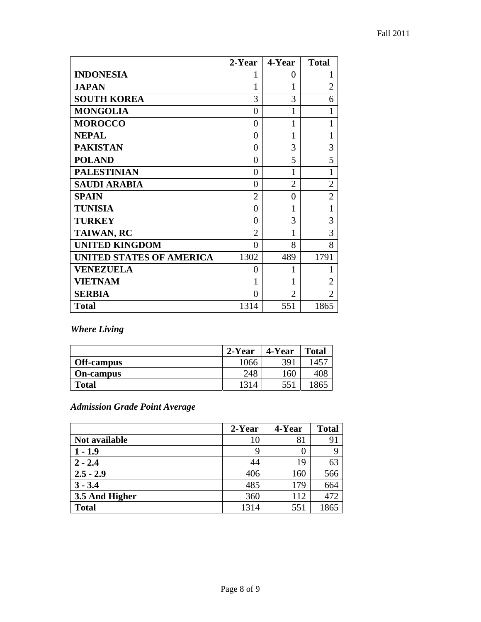|                                 | 2-Year         | 4-Year         | <b>Total</b>   |
|---------------------------------|----------------|----------------|----------------|
| <b>INDONESIA</b>                | 1              | 0              | 1              |
| <b>JAPAN</b>                    | 1              | 1              | $\overline{2}$ |
| <b>SOUTH KOREA</b>              | 3              | 3              | 6              |
| <b>MONGOLIA</b>                 | 0              | 1              |                |
| <b>MOROCCO</b>                  | $\overline{0}$ | 1              |                |
| <b>NEPAL</b>                    | 0              | 1              |                |
| <b>PAKISTAN</b>                 | 0              | 3              | 3              |
| <b>POLAND</b>                   | 0              | 5              | 5              |
| <b>PALESTINIAN</b>              | $\theta$       | 1              | 1              |
| <b>SAUDI ARABIA</b>             | 0              | $\overline{2}$ | $\overline{2}$ |
| <b>SPAIN</b>                    | $\overline{2}$ | 0              | $\overline{2}$ |
| <b>TUNISIA</b>                  | 0              | 1              | 1              |
| <b>TURKEY</b>                   | 0              | 3              | 3              |
| <b>TAIWAN, RC</b>               | $\overline{2}$ | 1              | 3              |
| <b>UNITED KINGDOM</b>           | 0              | 8              | 8              |
| <b>UNITED STATES OF AMERICA</b> | 1302           | 489            | 1791           |
| <b>VENEZUELA</b>                | 0              | 1              |                |
| <b>VIETNAM</b>                  | 1              | 1              | $\overline{2}$ |
| <b>SERBIA</b>                   | 0              | $\overline{2}$ | $\overline{2}$ |
| <b>Total</b>                    | 1314           | 551            | 1865           |

*Where Living* 

|                  | 2-Year | 4-Year | <b>Total</b> |
|------------------|--------|--------|--------------|
| Off-campus       | 1066   | 391    | 1457         |
| <b>On-campus</b> | 248    | 160    | 408          |
| <b>Total</b>     | 1314   | 551    | 1865         |

*Admission Grade Point Average* 

|                | 2-Year | 4-Year | <b>Total</b> |
|----------------|--------|--------|--------------|
| Not available  | 10     | 81     | 91           |
| $1 - 1.9$      | 9      |        |              |
| $2 - 2.4$      | 44     | 19     | 63           |
| $2.5 - 2.9$    | 406    | 160    | 566          |
| $3 - 3.4$      | 485    | 179    | 664          |
| 3.5 And Higher | 360    | 112    | 472          |
| <b>Total</b>   | 1314   | 551    | 1865         |